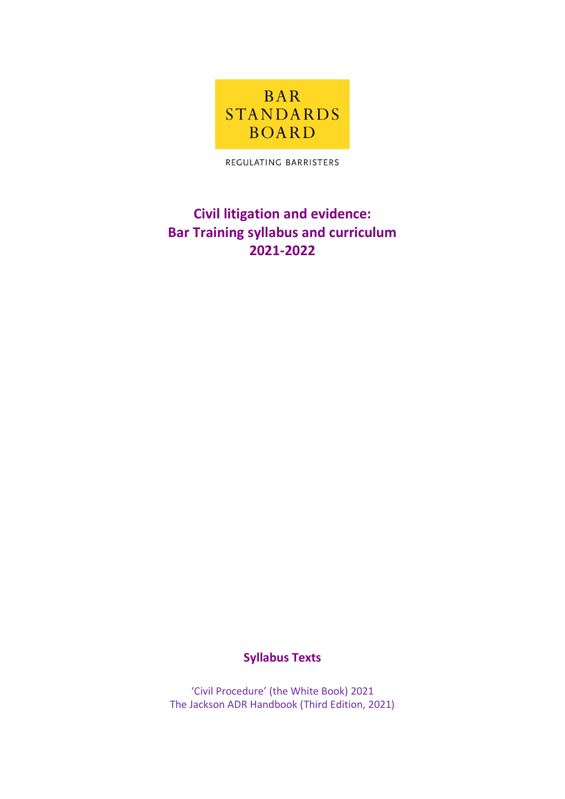

REGULATING BARRISTERS

# **Civil litigation and evidence: Bar Training syllabus and curriculum 2021-2022**

## **Syllabus Texts**

'Civil Procedure' (the White Book) 2021 The Jackson ADR Handbook (Third Edition, 2021)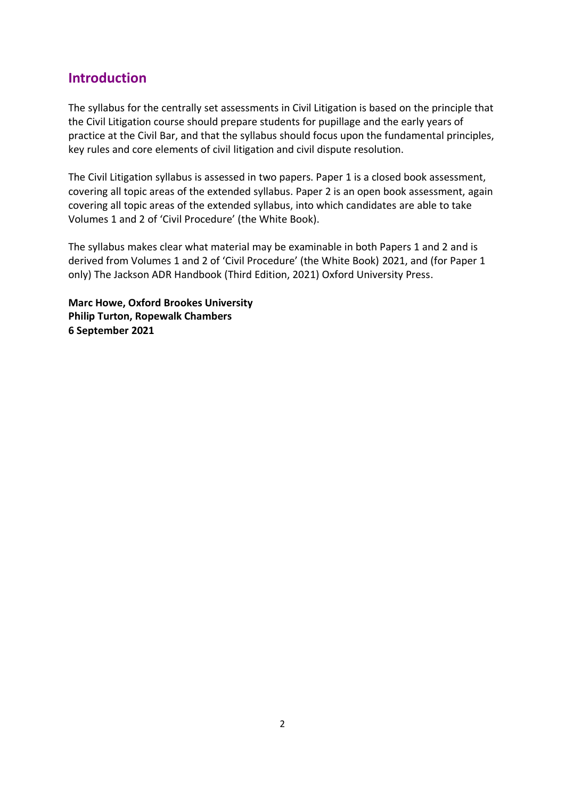### **Introduction**

The syllabus for the centrally set assessments in Civil Litigation is based on the principle that the Civil Litigation course should prepare students for pupillage and the early years of practice at the Civil Bar, and that the syllabus should focus upon the fundamental principles, key rules and core elements of civil litigation and civil dispute resolution.

The Civil Litigation syllabus is assessed in two papers. Paper 1 is a closed book assessment, covering all topic areas of the extended syllabus. Paper 2 is an open book assessment, again covering all topic areas of the extended syllabus, into which candidates are able to take Volumes 1 and 2 of 'Civil Procedure' (the White Book).

The syllabus makes clear what material may be examinable in both Papers 1 and 2 and is derived from Volumes 1 and 2 of 'Civil Procedure' (the White Book) 2021, and (for Paper 1 only) The Jackson ADR Handbook (Third Edition, 2021) Oxford University Press.

**Marc Howe, Oxford Brookes University Philip Turton, Ropewalk Chambers 6 September 2021**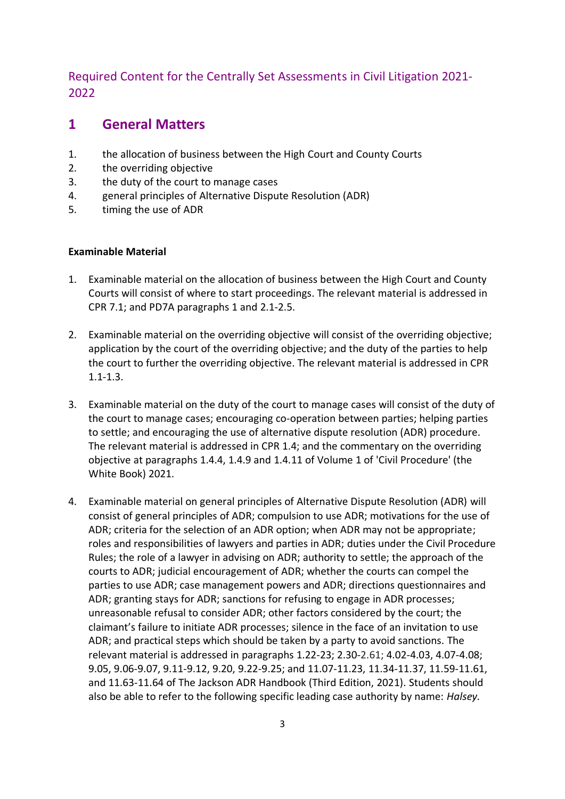### Required Content for the Centrally Set Assessments in Civil Litigation 2021- 2022

## **1 General Matters**

- 1. the allocation of business between the High Court and County Courts
- 2. the overriding objective
- 3. the duty of the court to manage cases
- 4. general principles of Alternative Dispute Resolution (ADR)
- 5. timing the use of ADR

- 1. Examinable material on the allocation of business between the High Court and County Courts will consist of where to start proceedings. The relevant material is addressed in CPR 7.1; and PD7A paragraphs 1 and 2.1-2.5.
- 2. Examinable material on the overriding objective will consist of the overriding objective; application by the court of the overriding objective; and the duty of the parties to help the court to further the overriding objective. The relevant material is addressed in CPR 1.1-1.3.
- 3. Examinable material on the duty of the court to manage cases will consist of the duty of the court to manage cases; encouraging co-operation between parties; helping parties to settle; and encouraging the use of alternative dispute resolution (ADR) procedure. The relevant material is addressed in CPR 1.4; and the commentary on the overriding objective at paragraphs 1.4.4, 1.4.9 and 1.4.11 of Volume 1 of 'Civil Procedure' (the White Book) 2021.
- 4. Examinable material on general principles of Alternative Dispute Resolution (ADR) will consist of general principles of ADR; compulsion to use ADR; motivations for the use of ADR; criteria for the selection of an ADR option; when ADR may not be appropriate; roles and responsibilities of lawyers and parties in ADR; duties under the Civil Procedure Rules; the role of a lawyer in advising on ADR; authority to settle; the approach of the courts to ADR; judicial encouragement of ADR; whether the courts can compel the parties to use ADR; case management powers and ADR; directions questionnaires and ADR; granting stays for ADR; sanctions for refusing to engage in ADR processes; unreasonable refusal to consider ADR; other factors considered by the court; the claimant's failure to initiate ADR processes; silence in the face of an invitation to use ADR; and practical steps which should be taken by a party to avoid sanctions. The relevant material is addressed in paragraphs 1.22-23; 2.30-2.61; 4.02-4.03, 4.07-4.08; 9.05, 9.06-9.07, 9.11-9.12, 9.20, 9.22-9.25; and 11.07-11.23, 11.34-11.37, 11.59-11.61, and 11.63-11.64 of The Jackson ADR Handbook (Third Edition, 2021). Students should also be able to refer to the following specific leading case authority by name: *Halsey.*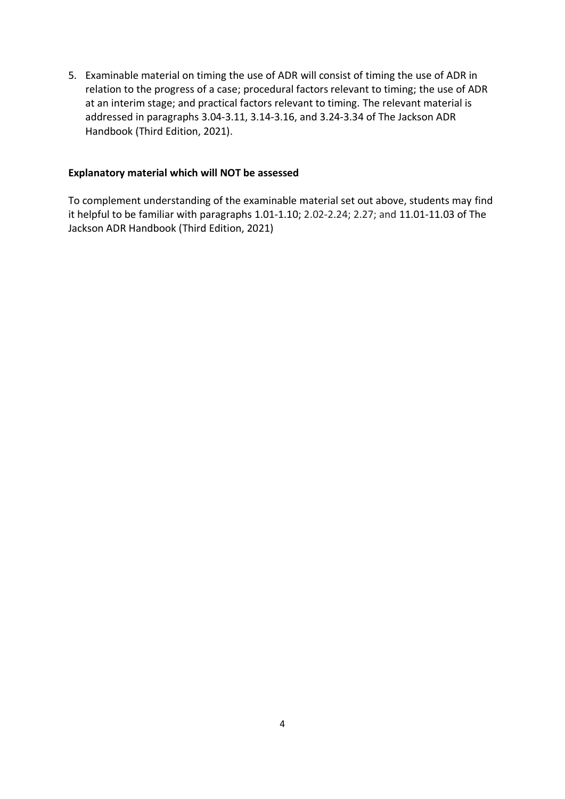5. Examinable material on timing the use of ADR will consist of timing the use of ADR in relation to the progress of a case; procedural factors relevant to timing; the use of ADR at an interim stage; and practical factors relevant to timing. The relevant material is addressed in paragraphs 3.04-3.11, 3.14-3.16, and 3.24-3.34 of The Jackson ADR Handbook (Third Edition, 2021).

### **Explanatory material which will NOT be assessed**

To complement understanding of the examinable material set out above, students may find it helpful to be familiar with paragraphs 1.01-1.10; 2.02-2.24; 2.27; and 11.01-11.03 of The Jackson ADR Handbook (Third Edition, 2021)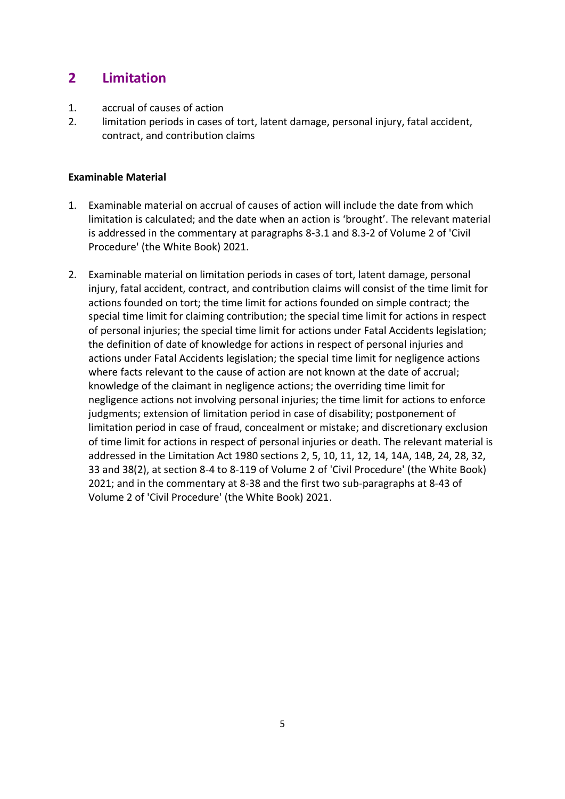## **2 Limitation**

- 1. accrual of causes of action
- 2. limitation periods in cases of tort, latent damage, personal injury, fatal accident, contract, and contribution claims

- 1. Examinable material on accrual of causes of action will include the date from which limitation is calculated; and the date when an action is 'brought'. The relevant material is addressed in the commentary at paragraphs 8-3.1 and 8.3-2 of Volume 2 of 'Civil Procedure' (the White Book) 2021.
- 2. Examinable material on limitation periods in cases of tort, latent damage, personal injury, fatal accident, contract, and contribution claims will consist of the time limit for actions founded on tort; the time limit for actions founded on simple contract; the special time limit for claiming contribution; the special time limit for actions in respect of personal injuries; the special time limit for actions under Fatal Accidents legislation; the definition of date of knowledge for actions in respect of personal injuries and actions under Fatal Accidents legislation; the special time limit for negligence actions where facts relevant to the cause of action are not known at the date of accrual; knowledge of the claimant in negligence actions; the overriding time limit for negligence actions not involving personal injuries; the time limit for actions to enforce judgments; extension of limitation period in case of disability; postponement of limitation period in case of fraud, concealment or mistake; and discretionary exclusion of time limit for actions in respect of personal injuries or death. The relevant material is addressed in the Limitation Act 1980 sections 2, 5, 10, 11, 12, 14, 14A, 14B, 24, 28, 32, 33 and 38(2), at section 8-4 to 8-119 of Volume 2 of 'Civil Procedure' (the White Book) 2021; and in the commentary at 8-38 and the first two sub-paragraphs at 8-43 of Volume 2 of 'Civil Procedure' (the White Book) 2021.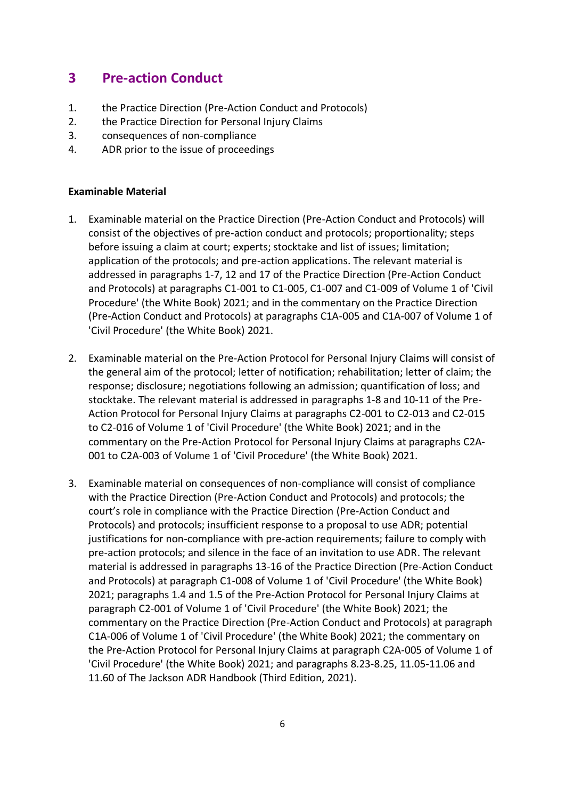## **3 Pre-action Conduct**

- 1. the Practice Direction (Pre-Action Conduct and Protocols)
- 2. the Practice Direction for Personal Injury Claims
- 3. consequences of non-compliance
- 4. ADR prior to the issue of proceedings

- 1. Examinable material on the Practice Direction (Pre-Action Conduct and Protocols) will consist of the objectives of pre-action conduct and protocols; proportionality; steps before issuing a claim at court; experts; stocktake and list of issues; limitation; application of the protocols; and pre-action applications. The relevant material is addressed in paragraphs 1-7, 12 and 17 of the Practice Direction (Pre-Action Conduct and Protocols) at paragraphs C1-001 to C1-005, C1-007 and C1-009 of Volume 1 of 'Civil Procedure' (the White Book) 2021; and in the commentary on the Practice Direction (Pre-Action Conduct and Protocols) at paragraphs C1A-005 and C1A-007 of Volume 1 of 'Civil Procedure' (the White Book) 2021.
- 2. Examinable material on the Pre-Action Protocol for Personal Injury Claims will consist of the general aim of the protocol; letter of notification; rehabilitation; letter of claim; the response; disclosure; negotiations following an admission; quantification of loss; and stocktake. The relevant material is addressed in paragraphs 1-8 and 10-11 of the Pre-Action Protocol for Personal Injury Claims at paragraphs C2-001 to C2-013 and C2-015 to C2-016 of Volume 1 of 'Civil Procedure' (the White Book) 2021; and in the commentary on the Pre-Action Protocol for Personal Injury Claims at paragraphs C2A-001 to C2A-003 of Volume 1 of 'Civil Procedure' (the White Book) 2021.
- 3. Examinable material on consequences of non-compliance will consist of compliance with the Practice Direction (Pre-Action Conduct and Protocols) and protocols; the court's role in compliance with the Practice Direction (Pre-Action Conduct and Protocols) and protocols; insufficient response to a proposal to use ADR; potential justifications for non-compliance with pre-action requirements; failure to comply with pre-action protocols; and silence in the face of an invitation to use ADR. The relevant material is addressed in paragraphs 13-16 of the Practice Direction (Pre-Action Conduct and Protocols) at paragraph C1-008 of Volume 1 of 'Civil Procedure' (the White Book) 2021; paragraphs 1.4 and 1.5 of the Pre-Action Protocol for Personal Injury Claims at paragraph C2-001 of Volume 1 of 'Civil Procedure' (the White Book) 2021; the commentary on the Practice Direction (Pre-Action Conduct and Protocols) at paragraph C1A-006 of Volume 1 of 'Civil Procedure' (the White Book) 2021; the commentary on the Pre-Action Protocol for Personal Injury Claims at paragraph C2A-005 of Volume 1 of 'Civil Procedure' (the White Book) 2021; and paragraphs 8.23-8.25, 11.05-11.06 and 11.60 of The Jackson ADR Handbook (Third Edition, 2021).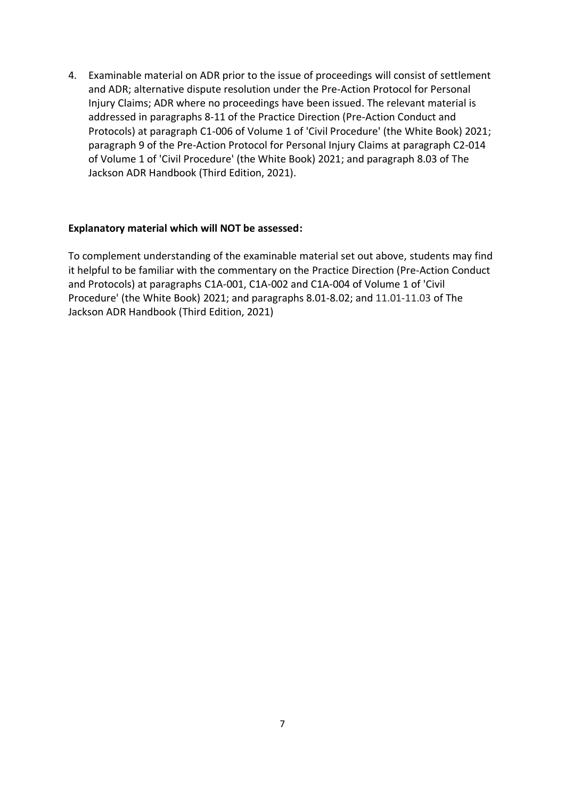4. Examinable material on ADR prior to the issue of proceedings will consist of settlement and ADR; alternative dispute resolution under the Pre-Action Protocol for Personal Injury Claims; ADR where no proceedings have been issued. The relevant material is addressed in paragraphs 8-11 of the Practice Direction (Pre-Action Conduct and Protocols) at paragraph C1-006 of Volume 1 of 'Civil Procedure' (the White Book) 2021; paragraph 9 of the Pre-Action Protocol for Personal Injury Claims at paragraph C2-014 of Volume 1 of 'Civil Procedure' (the White Book) 2021; and paragraph 8.03 of The Jackson ADR Handbook (Third Edition, 2021).

### **Explanatory material which will NOT be assessed:**

To complement understanding of the examinable material set out above, students may find it helpful to be familiar with the commentary on the Practice Direction (Pre-Action Conduct and Protocols) at paragraphs C1A-001, C1A-002 and C1A-004 of Volume 1 of 'Civil Procedure' (the White Book) 2021; and paragraphs 8.01-8.02; and 11.01-11.03 of The Jackson ADR Handbook (Third Edition, 2021)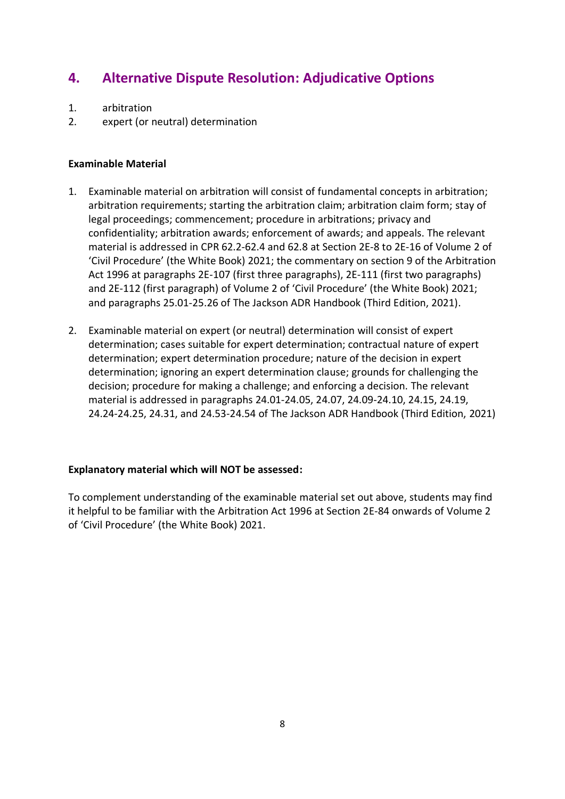# **4. Alternative Dispute Resolution: Adjudicative Options**

- 1. arbitration
- 2. expert (or neutral) determination

### **Examinable Material**

- 1. Examinable material on arbitration will consist of fundamental concepts in arbitration; arbitration requirements; starting the arbitration claim; arbitration claim form; stay of legal proceedings; commencement; procedure in arbitrations; privacy and confidentiality; arbitration awards; enforcement of awards; and appeals. The relevant material is addressed in CPR 62.2-62.4 and 62.8 at Section 2E-8 to 2E-16 of Volume 2 of 'Civil Procedure' (the White Book) 2021; the commentary on section 9 of the Arbitration Act 1996 at paragraphs 2E-107 (first three paragraphs), 2E-111 (first two paragraphs) and 2E-112 (first paragraph) of Volume 2 of 'Civil Procedure' (the White Book) 2021; and paragraphs 25.01-25.26 of The Jackson ADR Handbook (Third Edition, 2021).
- 2. Examinable material on expert (or neutral) determination will consist of expert determination; cases suitable for expert determination; contractual nature of expert determination; expert determination procedure; nature of the decision in expert determination; ignoring an expert determination clause; grounds for challenging the decision; procedure for making a challenge; and enforcing a decision. The relevant material is addressed in paragraphs 24.01-24.05, 24.07, 24.09-24.10, 24.15, 24.19, 24.24-24.25, 24.31, and 24.53-24.54 of The Jackson ADR Handbook (Third Edition, 2021)

### **Explanatory material which will NOT be assessed:**

To complement understanding of the examinable material set out above, students may find it helpful to be familiar with the Arbitration Act 1996 at Section 2E-84 onwards of Volume 2 of 'Civil Procedure' (the White Book) 2021.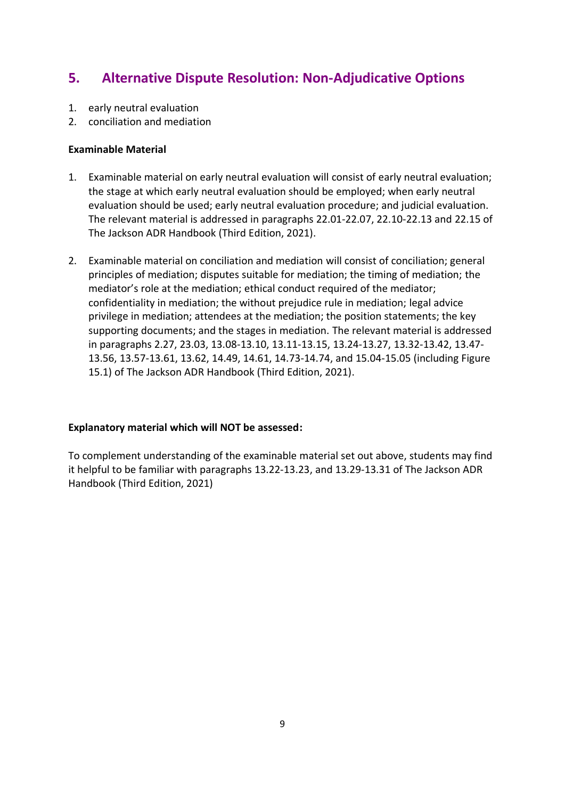# **5. Alternative Dispute Resolution: Non-Adjudicative Options**

- 1. early neutral evaluation
- 2. conciliation and mediation

### **Examinable Material**

- 1. Examinable material on early neutral evaluation will consist of early neutral evaluation; the stage at which early neutral evaluation should be employed; when early neutral evaluation should be used; early neutral evaluation procedure; and judicial evaluation. The relevant material is addressed in paragraphs 22.01-22.07, 22.10-22.13 and 22.15 of The Jackson ADR Handbook (Third Edition, 2021).
- 2. Examinable material on conciliation and mediation will consist of conciliation; general principles of mediation; disputes suitable for mediation; the timing of mediation; the mediator's role at the mediation; ethical conduct required of the mediator; confidentiality in mediation; the without prejudice rule in mediation; legal advice privilege in mediation; attendees at the mediation; the position statements; the key supporting documents; and the stages in mediation. The relevant material is addressed in paragraphs 2.27, 23.03, 13.08-13.10, 13.11-13.15, 13.24-13.27, 13.32-13.42, 13.47- 13.56, 13.57-13.61, 13.62, 14.49, 14.61, 14.73-14.74, and 15.04-15.05 (including Figure 15.1) of The Jackson ADR Handbook (Third Edition, 2021).

### **Explanatory material which will NOT be assessed:**

To complement understanding of the examinable material set out above, students may find it helpful to be familiar with paragraphs 13.22-13.23, and 13.29-13.31 of The Jackson ADR Handbook (Third Edition, 2021)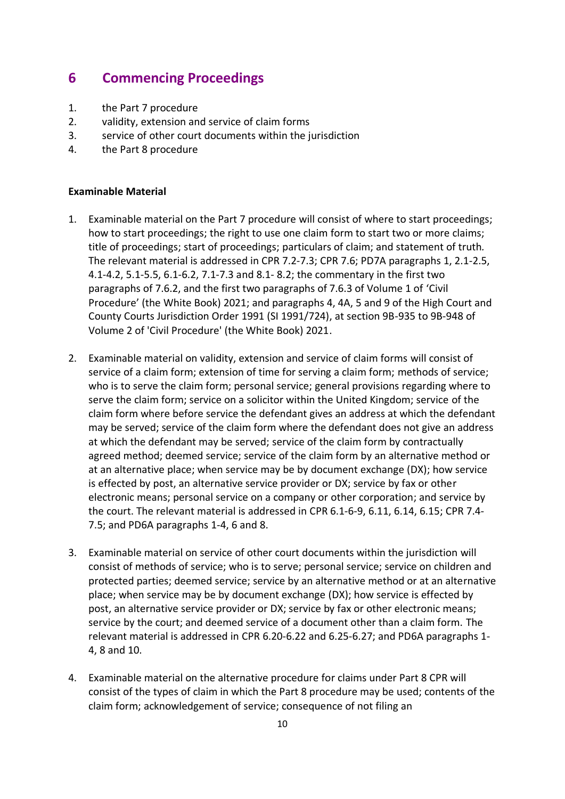## **6 Commencing Proceedings**

- 1. the Part 7 procedure
- 2. validity, extension and service of claim forms
- 3. service of other court documents within the jurisdiction
- 4. the Part 8 procedure

- 1. Examinable material on the Part 7 procedure will consist of where to start proceedings; how to start proceedings; the right to use one claim form to start two or more claims; title of proceedings; start of proceedings; particulars of claim; and statement of truth*.* The relevant material is addressed in CPR 7.2-7.3; CPR 7.6; PD7A paragraphs 1, 2.1-2.5, 4.1-4.2, 5.1-5.5, 6.1-6.2, 7.1-7.3 and 8.1- 8.2; the commentary in the first two paragraphs of 7.6.2, and the first two paragraphs of 7.6.3 of Volume 1 of 'Civil Procedure' (the White Book) 2021; and paragraphs 4, 4A, 5 and 9 of the High Court and County Courts Jurisdiction Order 1991 (SI 1991/724), at section 9B-935 to 9B-948 of Volume 2 of 'Civil Procedure' (the White Book) 2021.
- 2. Examinable material on validity, extension and service of claim forms will consist of service of a claim form; extension of time for serving a claim form; methods of service; who is to serve the claim form; personal service; general provisions regarding where to serve the claim form; service on a solicitor within the United Kingdom; service of the claim form where before service the defendant gives an address at which the defendant may be served; service of the claim form where the defendant does not give an address at which the defendant may be served; service of the claim form by contractually agreed method; deemed service; service of the claim form by an alternative method or at an alternative place; when service may be by document exchange (DX); how service is effected by post, an alternative service provider or DX; service by fax or other electronic means; personal service on a company or other corporation; and service by the court. The relevant material is addressed in CPR 6.1-6-9, 6.11, 6.14, 6.15; CPR 7.4- 7.5; and PD6A paragraphs 1-4, 6 and 8.
- 3. Examinable material on service of other court documents within the jurisdiction will consist of methods of service; who is to serve; personal service; service on children and protected parties; deemed service; service by an alternative method or at an alternative place; when service may be by document exchange (DX); how service is effected by post, an alternative service provider or DX; service by fax or other electronic means; service by the court; and deemed service of a document other than a claim form. The relevant material is addressed in CPR 6.20-6.22 and 6.25-6.27; and PD6A paragraphs 1- 4, 8 and 10.
- 4. Examinable material on the alternative procedure for claims under Part 8 CPR will consist of the types of claim in which the Part 8 procedure may be used; contents of the claim form; acknowledgement of service; consequence of not filing an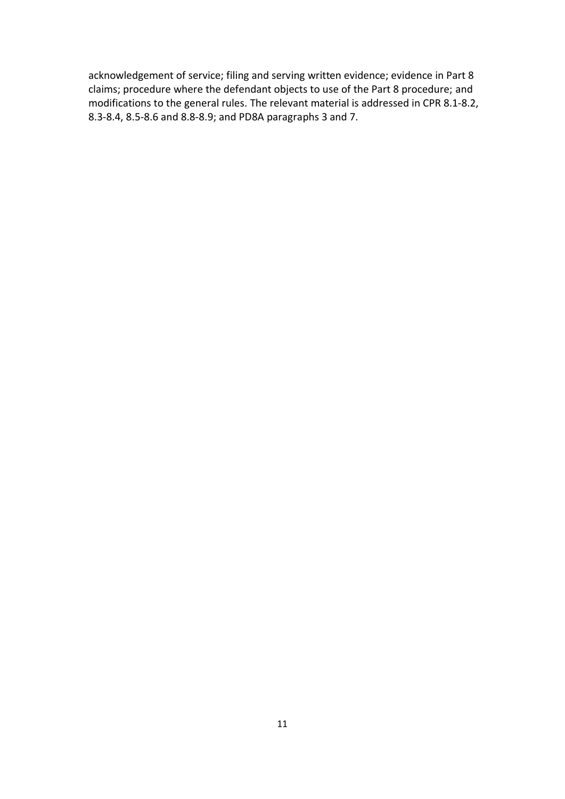acknowledgement of service; filing and serving written evidence; evidence in Part 8 claims; procedure where the defendant objects to use of the Part 8 procedure; and modifications to the general rules. The relevant material is addressed in CPR 8.1-8.2, 8.3-8.4, 8.5-8.6 and 8.8-8.9; and PD8A paragraphs 3 and 7.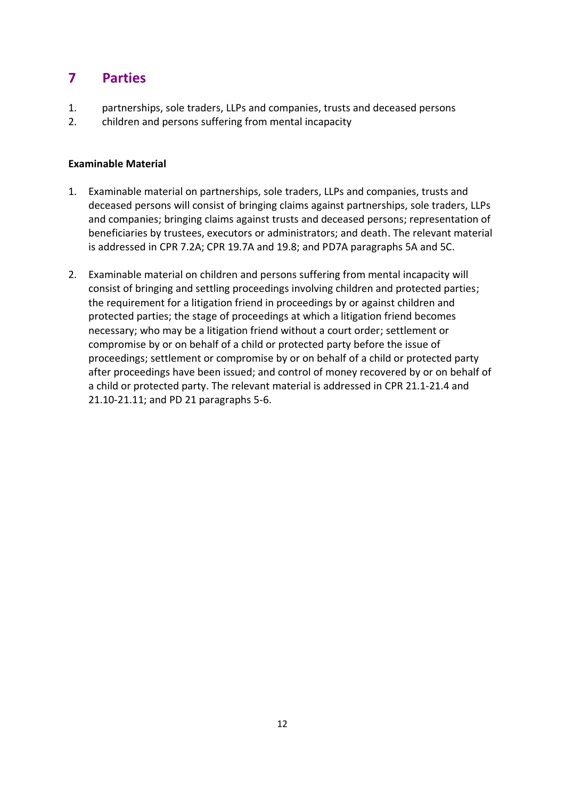# **7 Parties**

- 1. partnerships, sole traders, LLPs and companies, trusts and deceased persons
- 2. children and persons suffering from mental incapacity

- 1. Examinable material on partnerships, sole traders, LLPs and companies, trusts and deceased persons will consist of bringing claims against partnerships, sole traders, LLPs and companies; bringing claims against trusts and deceased persons; representation of beneficiaries by trustees, executors or administrators; and death. The relevant material is addressed in CPR 7.2A; CPR 19.7A and 19.8; and PD7A paragraphs 5A and 5C.
- 2. Examinable material on children and persons suffering from mental incapacity will consist of bringing and settling proceedings involving children and protected parties; the requirement for a litigation friend in proceedings by or against children and protected parties; the stage of proceedings at which a litigation friend becomes necessary; who may be a litigation friend without a court order; settlement or compromise by or on behalf of a child or protected party before the issue of proceedings; settlement or compromise by or on behalf of a child or protected party after proceedings have been issued; and control of money recovered by or on behalf of a child or protected party. The relevant material is addressed in CPR 21.1-21.4 and 21.10-21.11; and PD 21 paragraphs 5-6.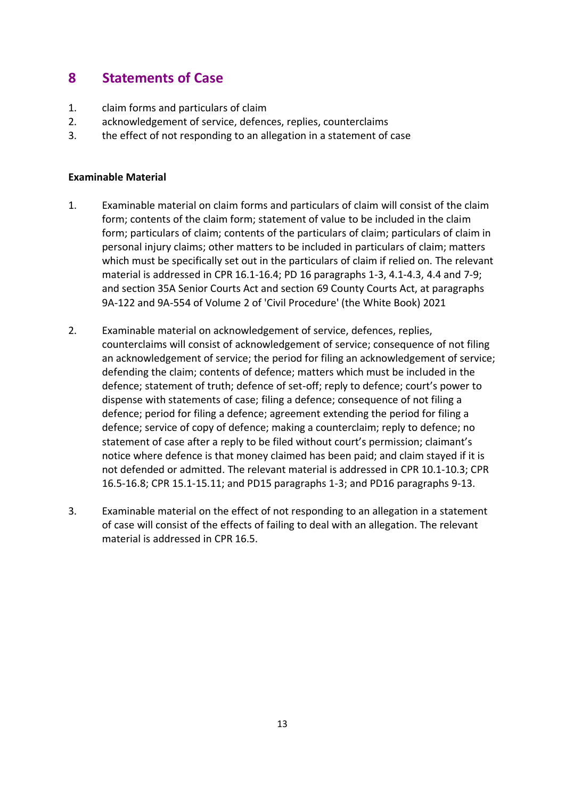## **8 Statements of Case**

- 1. claim forms and particulars of claim
- 2. acknowledgement of service, defences, replies, counterclaims
- 3. the effect of not responding to an allegation in a statement of case

- 1. Examinable material on claim forms and particulars of claim will consist of the claim form; contents of the claim form; statement of value to be included in the claim form; particulars of claim; contents of the particulars of claim; particulars of claim in personal injury claims; other matters to be included in particulars of claim; matters which must be specifically set out in the particulars of claim if relied on. The relevant material is addressed in CPR 16.1-16.4; PD 16 paragraphs 1-3, 4.1-4.3, 4.4 and 7-9; and section 35A Senior Courts Act and section 69 County Courts Act, at paragraphs 9A-122 and 9A-554 of Volume 2 of 'Civil Procedure' (the White Book) 2021
- 2. Examinable material on acknowledgement of service, defences, replies, counterclaims will consist of acknowledgement of service; consequence of not filing an acknowledgement of service; the period for filing an acknowledgement of service; defending the claim; contents of defence; matters which must be included in the defence; statement of truth; defence of set-off; reply to defence; court's power to dispense with statements of case; filing a defence; consequence of not filing a defence; period for filing a defence; agreement extending the period for filing a defence; service of copy of defence; making a counterclaim; reply to defence; no statement of case after a reply to be filed without court's permission; claimant's notice where defence is that money claimed has been paid; and claim stayed if it is not defended or admitted. The relevant material is addressed in CPR 10.1-10.3; CPR 16.5-16.8; CPR 15.1-15.11; and PD15 paragraphs 1-3; and PD16 paragraphs 9-13.
- 3. Examinable material on the effect of not responding to an allegation in a statement of case will consist of the effects of failing to deal with an allegation. The relevant material is addressed in CPR 16.5.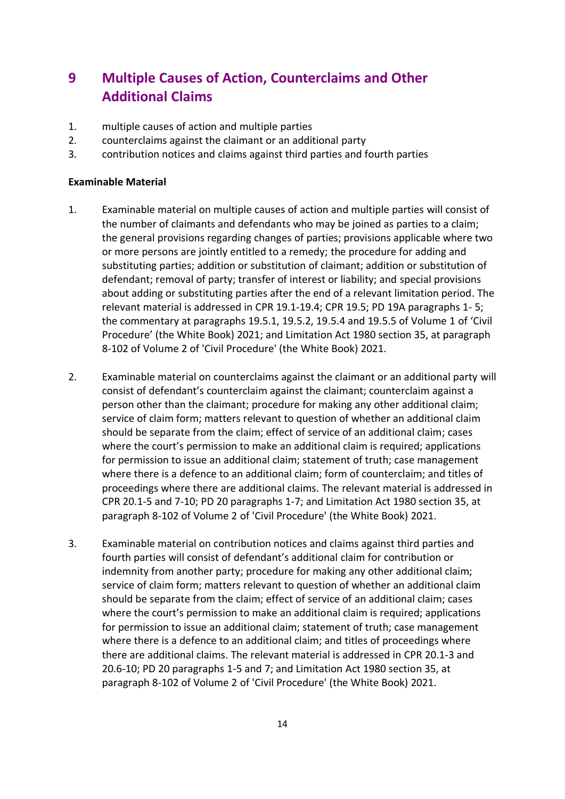# **9 Multiple Causes of Action, Counterclaims and Other Additional Claims**

- 1. multiple causes of action and multiple parties
- 2. counterclaims against the claimant or an additional party
- 3. contribution notices and claims against third parties and fourth parties

- 1. Examinable material on multiple causes of action and multiple parties will consist of the number of claimants and defendants who may be joined as parties to a claim; the general provisions regarding changes of parties; provisions applicable where two or more persons are jointly entitled to a remedy; the procedure for adding and substituting parties; addition or substitution of claimant; addition or substitution of defendant; removal of party; transfer of interest or liability; and special provisions about adding or substituting parties after the end of a relevant limitation period. The relevant material is addressed in CPR 19.1-19.4; CPR 19.5; PD 19A paragraphs 1- 5; the commentary at paragraphs 19.5.1, 19.5.2, 19.5.4 and 19.5.5 of Volume 1 of 'Civil Procedure' (the White Book) 2021; and Limitation Act 1980 section 35, at paragraph 8-102 of Volume 2 of 'Civil Procedure' (the White Book) 2021.
- 2. Examinable material on counterclaims against the claimant or an additional party will consist of defendant's counterclaim against the claimant; counterclaim against a person other than the claimant; procedure for making any other additional claim; service of claim form; matters relevant to question of whether an additional claim should be separate from the claim; effect of service of an additional claim; cases where the court's permission to make an additional claim is required; applications for permission to issue an additional claim; statement of truth; case management where there is a defence to an additional claim; form of counterclaim; and titles of proceedings where there are additional claims. The relevant material is addressed in CPR 20.1-5 and 7-10; PD 20 paragraphs 1-7; and Limitation Act 1980 section 35, at paragraph 8-102 of Volume 2 of 'Civil Procedure' (the White Book) 2021.
- 3. Examinable material on contribution notices and claims against third parties and fourth parties will consist of defendant's additional claim for contribution or indemnity from another party; procedure for making any other additional claim; service of claim form; matters relevant to question of whether an additional claim should be separate from the claim; effect of service of an additional claim; cases where the court's permission to make an additional claim is required; applications for permission to issue an additional claim; statement of truth; case management where there is a defence to an additional claim; and titles of proceedings where there are additional claims. The relevant material is addressed in CPR 20.1-3 and 20.6-10; PD 20 paragraphs 1-5 and 7; and Limitation Act 1980 section 35, at paragraph 8-102 of Volume 2 of 'Civil Procedure' (the White Book) 2021.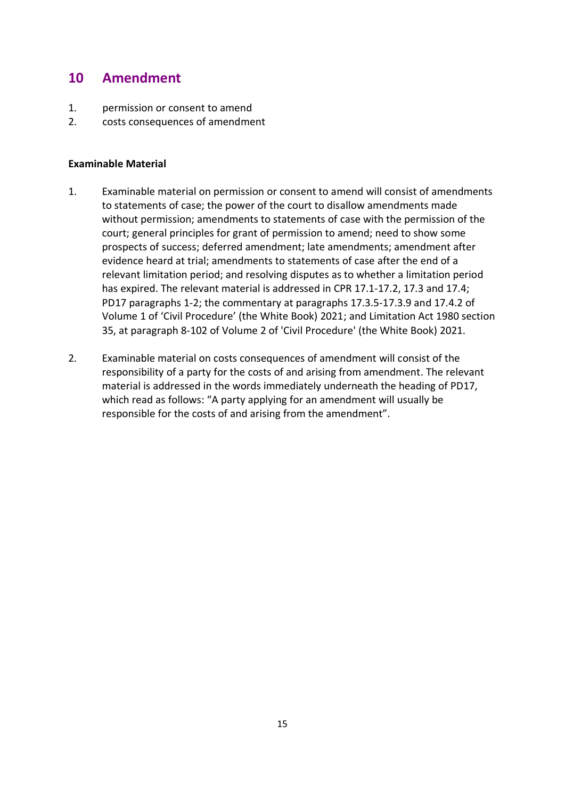## **10 Amendment**

- 1. permission or consent to amend
- 2. costs consequences of amendment

- 1. Examinable material on permission or consent to amend will consist of amendments to statements of case; the power of the court to disallow amendments made without permission; amendments to statements of case with the permission of the court; general principles for grant of permission to amend; need to show some prospects of success; deferred amendment; late amendments; amendment after evidence heard at trial; amendments to statements of case after the end of a relevant limitation period; and resolving disputes as to whether a limitation period has expired. The relevant material is addressed in CPR 17.1-17.2, 17.3 and 17.4; PD17 paragraphs 1-2; the commentary at paragraphs 17.3.5-17.3.9 and 17.4.2 of Volume 1 of 'Civil Procedure' (the White Book) 2021; and Limitation Act 1980 section 35, at paragraph 8-102 of Volume 2 of 'Civil Procedure' (the White Book) 2021.
- 2. Examinable material on costs consequences of amendment will consist of the responsibility of a party for the costs of and arising from amendment. The relevant material is addressed in the words immediately underneath the heading of PD17, which read as follows: "A party applying for an amendment will usually be responsible for the costs of and arising from the amendment".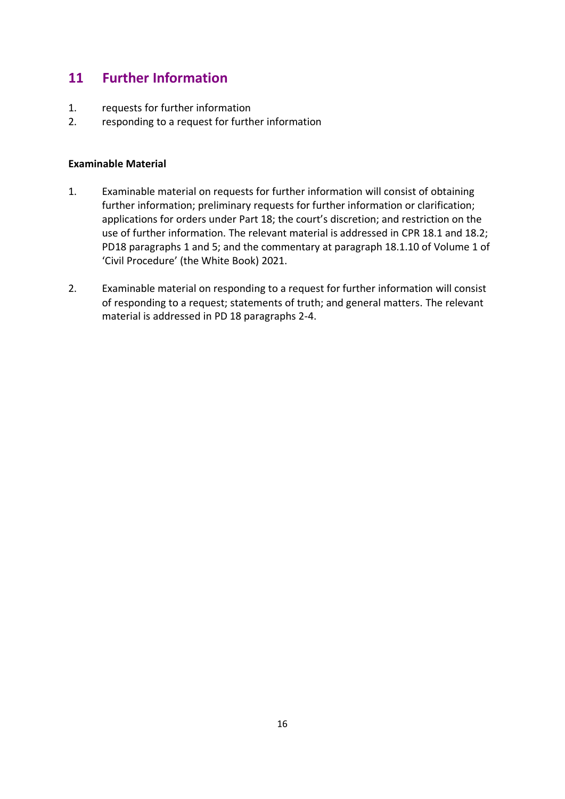## **11 Further Information**

- 1. requests for further information
- 2. responding to a request for further information

- 1. Examinable material on requests for further information will consist of obtaining further information; preliminary requests for further information or clarification; applications for orders under Part 18; the court's discretion; and restriction on the use of further information. The relevant material is addressed in CPR 18.1 and 18.2; PD18 paragraphs 1 and 5; and the commentary at paragraph 18.1.10 of Volume 1 of 'Civil Procedure' (the White Book) 2021.
- 2. Examinable material on responding to a request for further information will consist of responding to a request; statements of truth; and general matters. The relevant material is addressed in PD 18 paragraphs 2-4.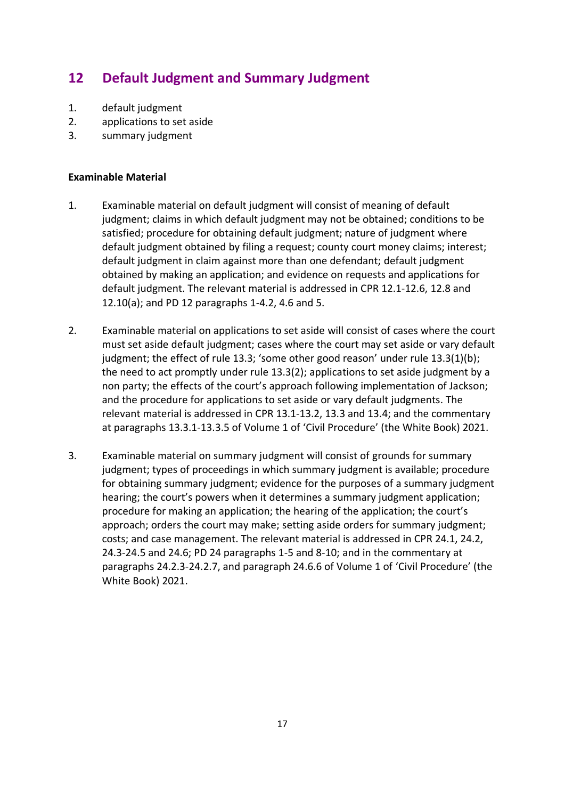# **12 Default Judgment and Summary Judgment**

- 1. default judgment
- 2. applications to set aside
- 3. summary judgment

- 1. Examinable material on default judgment will consist of meaning of default judgment; claims in which default judgment may not be obtained; conditions to be satisfied; procedure for obtaining default judgment; nature of judgment where default judgment obtained by filing a request; county court money claims; interest; default judgment in claim against more than one defendant; default judgment obtained by making an application; and evidence on requests and applications for default judgment. The relevant material is addressed in CPR 12.1-12.6, 12.8 and 12.10(a); and PD 12 paragraphs 1-4.2, 4.6 and 5.
- 2. Examinable material on applications to set aside will consist of cases where the court must set aside default judgment; cases where the court may set aside or vary default judgment; the effect of rule 13.3; 'some other good reason' under rule 13.3(1)(b); the need to act promptly under rule 13.3(2); applications to set aside judgment by a non party; the effects of the court's approach following implementation of Jackson; and the procedure for applications to set aside or vary default judgments. The relevant material is addressed in CPR 13.1-13.2, 13.3 and 13.4; and the commentary at paragraphs 13.3.1-13.3.5 of Volume 1 of 'Civil Procedure' (the White Book) 2021.
- 3. Examinable material on summary judgment will consist of grounds for summary judgment; types of proceedings in which summary judgment is available; procedure for obtaining summary judgment; evidence for the purposes of a summary judgment hearing; the court's powers when it determines a summary judgment application; procedure for making an application; the hearing of the application; the court's approach; orders the court may make; setting aside orders for summary judgment; costs; and case management. The relevant material is addressed in CPR 24.1, 24.2, 24.3-24.5 and 24.6; PD 24 paragraphs 1-5 and 8-10; and in the commentary at paragraphs 24.2.3-24.2.7, and paragraph 24.6.6 of Volume 1 of 'Civil Procedure' (the White Book) 2021.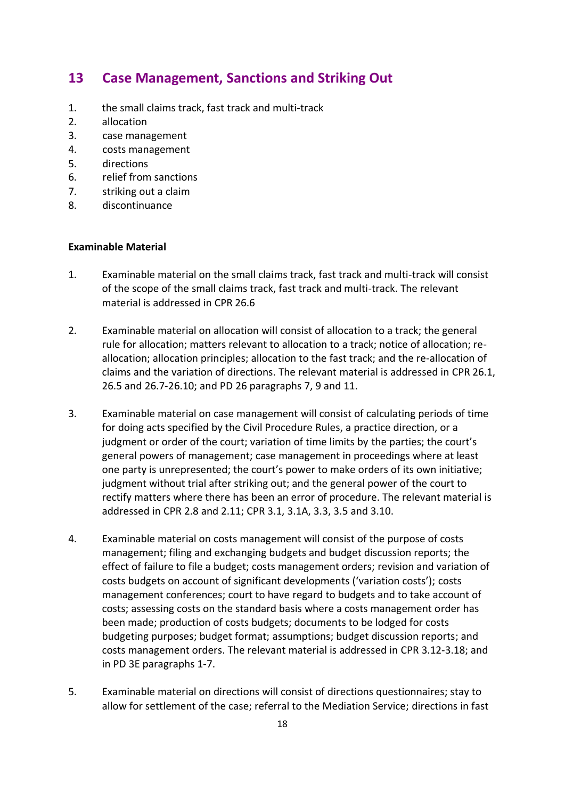### **13 Case Management, Sanctions and Striking Out**

- 1. the small claims track, fast track and multi-track
- 2. allocation
- 3. case management
- 4. costs management
- 5. directions
- 6. relief from sanctions
- 7. striking out a claim
- 8. discontinuance

- 1. Examinable material on the small claims track, fast track and multi-track will consist of the scope of the small claims track, fast track and multi-track. The relevant material is addressed in CPR 26.6
- 2. Examinable material on allocation will consist of allocation to a track; the general rule for allocation; matters relevant to allocation to a track; notice of allocation; reallocation; allocation principles; allocation to the fast track; and the re-allocation of claims and the variation of directions. The relevant material is addressed in CPR 26.1, 26.5 and 26.7-26.10; and PD 26 paragraphs 7, 9 and 11.
- 3. Examinable material on case management will consist of calculating periods of time for doing acts specified by the Civil Procedure Rules, a practice direction, or a judgment or order of the court; variation of time limits by the parties; the court's general powers of management; case management in proceedings where at least one party is unrepresented; the court's power to make orders of its own initiative; judgment without trial after striking out; and the general power of the court to rectify matters where there has been an error of procedure. The relevant material is addressed in CPR 2.8 and 2.11; CPR 3.1, 3.1A, 3.3, 3.5 and 3.10.
- 4. Examinable material on costs management will consist of the purpose of costs management; filing and exchanging budgets and budget discussion reports; the effect of failure to file a budget; costs management orders; revision and variation of costs budgets on account of significant developments ('variation costs'); costs management conferences; court to have regard to budgets and to take account of costs; assessing costs on the standard basis where a costs management order has been made; production of costs budgets; documents to be lodged for costs budgeting purposes; budget format; assumptions; budget discussion reports; and costs management orders. The relevant material is addressed in CPR 3.12-3.18; and in PD 3E paragraphs 1-7.
- 5. Examinable material on directions will consist of directions questionnaires; stay to allow for settlement of the case; referral to the Mediation Service; directions in fast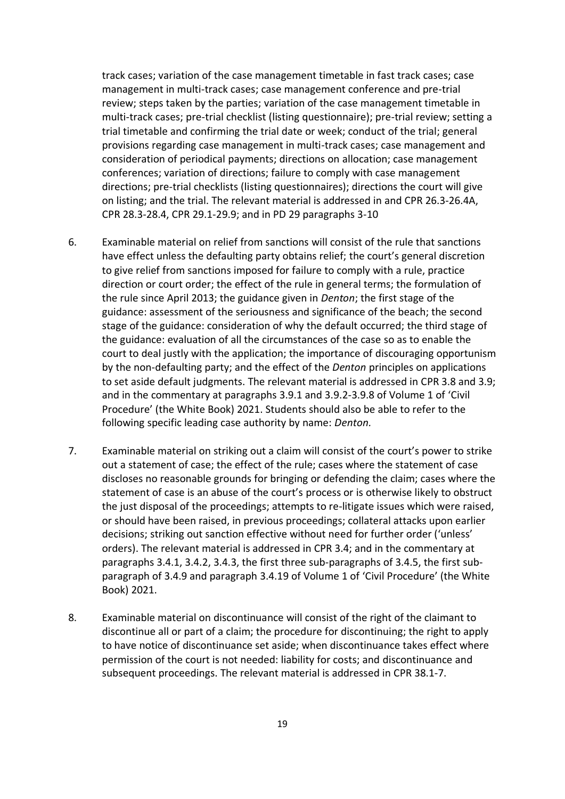track cases; variation of the case management timetable in fast track cases; case management in multi-track cases; case management conference and pre-trial review; steps taken by the parties; variation of the case management timetable in multi-track cases; pre-trial checklist (listing questionnaire); pre-trial review; setting a trial timetable and confirming the trial date or week; conduct of the trial; general provisions regarding case management in multi-track cases; case management and consideration of periodical payments; directions on allocation; case management conferences; variation of directions; failure to comply with case management directions; pre-trial checklists (listing questionnaires); directions the court will give on listing; and the trial. The relevant material is addressed in and CPR 26.3-26.4A, CPR 28.3-28.4, CPR 29.1-29.9; and in PD 29 paragraphs 3-10

- 6. Examinable material on relief from sanctions will consist of the rule that sanctions have effect unless the defaulting party obtains relief; the court's general discretion to give relief from sanctions imposed for failure to comply with a rule, practice direction or court order; the effect of the rule in general terms; the formulation of the rule since April 2013; the guidance given in *Denton*; the first stage of the guidance: assessment of the seriousness and significance of the beach; the second stage of the guidance: consideration of why the default occurred; the third stage of the guidance: evaluation of all the circumstances of the case so as to enable the court to deal justly with the application; the importance of discouraging opportunism by the non-defaulting party; and the effect of the *Denton* principles on applications to set aside default judgments. The relevant material is addressed in CPR 3.8 and 3.9; and in the commentary at paragraphs 3.9.1 and 3.9.2-3.9.8 of Volume 1 of 'Civil Procedure' (the White Book) 2021. Students should also be able to refer to the following specific leading case authority by name: *Denton.*
- 7. Examinable material on striking out a claim will consist of the court's power to strike out a statement of case; the effect of the rule; cases where the statement of case discloses no reasonable grounds for bringing or defending the claim; cases where the statement of case is an abuse of the court's process or is otherwise likely to obstruct the just disposal of the proceedings; attempts to re-litigate issues which were raised, or should have been raised, in previous proceedings; collateral attacks upon earlier decisions; striking out sanction effective without need for further order ('unless' orders). The relevant material is addressed in CPR 3.4; and in the commentary at paragraphs 3.4.1, 3.4.2, 3.4.3, the first three sub-paragraphs of 3.4.5, the first subparagraph of 3.4.9 and paragraph 3.4.19 of Volume 1 of 'Civil Procedure' (the White Book) 2021.
- 8. Examinable material on discontinuance will consist of the right of the claimant to discontinue all or part of a claim; the procedure for discontinuing; the right to apply to have notice of discontinuance set aside; when discontinuance takes effect where permission of the court is not needed: liability for costs; and discontinuance and subsequent proceedings. The relevant material is addressed in CPR 38.1-7.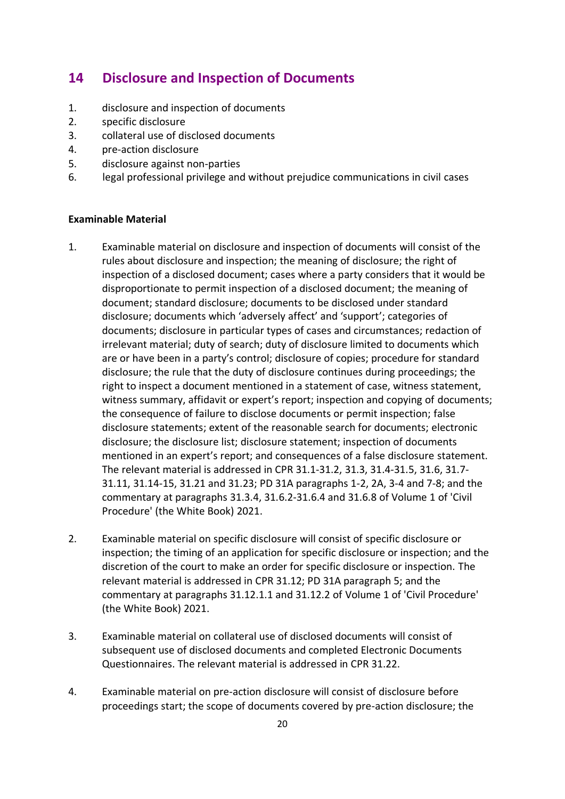### **14 Disclosure and Inspection of Documents**

- 1. disclosure and inspection of documents
- 2. specific disclosure
- 3. collateral use of disclosed documents
- 4. pre-action disclosure
- 5. disclosure against non-parties
- 6. legal professional privilege and without prejudice communications in civil cases

- 1. Examinable material on disclosure and inspection of documents will consist of the rules about disclosure and inspection; the meaning of disclosure; the right of inspection of a disclosed document; cases where a party considers that it would be disproportionate to permit inspection of a disclosed document; the meaning of document; standard disclosure; documents to be disclosed under standard disclosure; documents which 'adversely affect' and 'support'; categories of documents; disclosure in particular types of cases and circumstances; redaction of irrelevant material; duty of search; duty of disclosure limited to documents which are or have been in a party's control; disclosure of copies; procedure for standard disclosure; the rule that the duty of disclosure continues during proceedings; the right to inspect a document mentioned in a statement of case, witness statement, witness summary, affidavit or expert's report; inspection and copying of documents; the consequence of failure to disclose documents or permit inspection; false disclosure statements; extent of the reasonable search for documents; electronic disclosure; the disclosure list; disclosure statement; inspection of documents mentioned in an expert's report; and consequences of a false disclosure statement. The relevant material is addressed in CPR 31.1-31.2, 31.3, 31.4-31.5, 31.6, 31.7- 31.11, 31.14-15, 31.21 and 31.23; PD 31A paragraphs 1-2, 2A, 3-4 and 7-8; and the commentary at paragraphs 31.3.4, 31.6.2-31.6.4 and 31.6.8 of Volume 1 of 'Civil Procedure' (the White Book) 2021.
- 2. Examinable material on specific disclosure will consist of specific disclosure or inspection; the timing of an application for specific disclosure or inspection; and the discretion of the court to make an order for specific disclosure or inspection. The relevant material is addressed in CPR 31.12; PD 31A paragraph 5; and the commentary at paragraphs 31.12.1.1 and 31.12.2 of Volume 1 of 'Civil Procedure' (the White Book) 2021.
- 3. Examinable material on collateral use of disclosed documents will consist of subsequent use of disclosed documents and completed Electronic Documents Questionnaires. The relevant material is addressed in CPR 31.22.
- 4. Examinable material on pre-action disclosure will consist of disclosure before proceedings start; the scope of documents covered by pre-action disclosure; the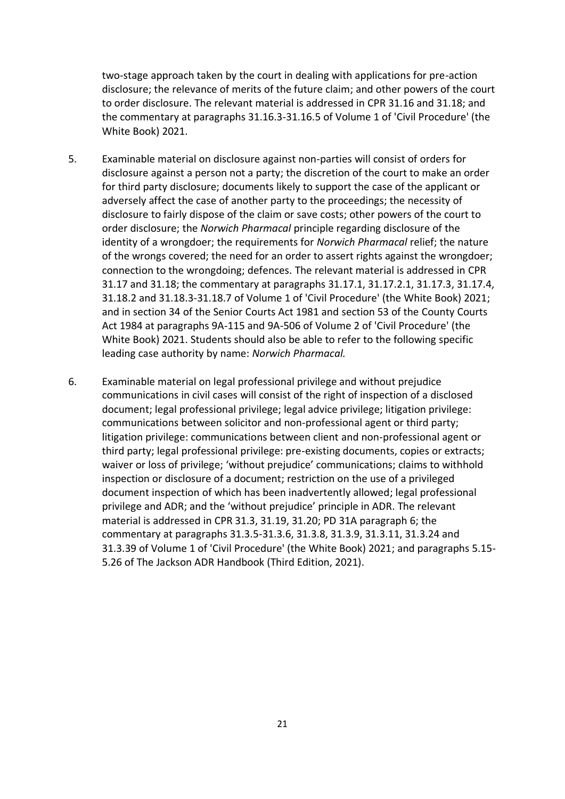two-stage approach taken by the court in dealing with applications for pre-action disclosure; the relevance of merits of the future claim; and other powers of the court to order disclosure. The relevant material is addressed in CPR 31.16 and 31.18; and the commentary at paragraphs 31.16.3-31.16.5 of Volume 1 of 'Civil Procedure' (the White Book) 2021.

- 5. Examinable material on disclosure against non-parties will consist of orders for disclosure against a person not a party; the discretion of the court to make an order for third party disclosure; documents likely to support the case of the applicant or adversely affect the case of another party to the proceedings; the necessity of disclosure to fairly dispose of the claim or save costs; other powers of the court to order disclosure; the *Norwich Pharmacal* principle regarding disclosure of the identity of a wrongdoer; the requirements for *Norwich Pharmacal* relief; the nature of the wrongs covered; the need for an order to assert rights against the wrongdoer; connection to the wrongdoing; defences. The relevant material is addressed in CPR 31.17 and 31.18; the commentary at paragraphs 31.17.1, 31.17.2.1, 31.17.3, 31.17.4, 31.18.2 and 31.18.3-31.18.7 of Volume 1 of 'Civil Procedure' (the White Book) 2021; and in section 34 of the Senior Courts Act 1981 and section 53 of the County Courts Act 1984 at paragraphs 9A-115 and 9A-506 of Volume 2 of 'Civil Procedure' (the White Book) 2021. Students should also be able to refer to the following specific leading case authority by name: *Norwich Pharmacal.*
- 6. Examinable material on legal professional privilege and without prejudice communications in civil cases will consist of the right of inspection of a disclosed document; legal professional privilege; legal advice privilege; litigation privilege: communications between solicitor and non-professional agent or third party; litigation privilege: communications between client and non-professional agent or third party; legal professional privilege: pre-existing documents, copies or extracts; waiver or loss of privilege; 'without prejudice' communications; claims to withhold inspection or disclosure of a document; restriction on the use of a privileged document inspection of which has been inadvertently allowed; legal professional privilege and ADR; and the 'without prejudice' principle in ADR. The relevant material is addressed in CPR 31.3, 31.19, 31.20; PD 31A paragraph 6; the commentary at paragraphs 31.3.5-31.3.6, 31.3.8, 31.3.9, 31.3.11, 31.3.24 and 31.3.39 of Volume 1 of 'Civil Procedure' (the White Book) 2021; and paragraphs 5.15- 5.26 of The Jackson ADR Handbook (Third Edition, 2021).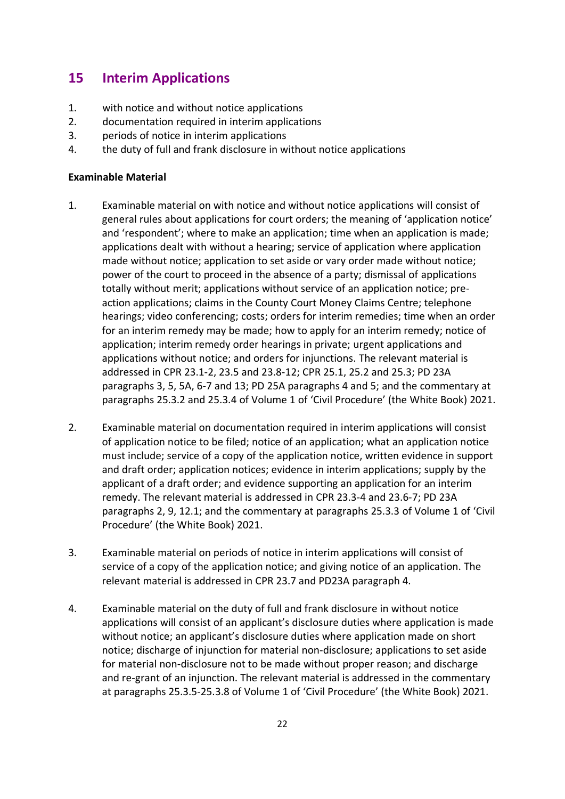## **15 Interim Applications**

- 1. with notice and without notice applications
- 2. documentation required in interim applications
- 3. periods of notice in interim applications
- 4. the duty of full and frank disclosure in without notice applications

- 1. Examinable material on with notice and without notice applications will consist of general rules about applications for court orders; the meaning of 'application notice' and 'respondent'; where to make an application; time when an application is made; applications dealt with without a hearing; service of application where application made without notice; application to set aside or vary order made without notice; power of the court to proceed in the absence of a party; dismissal of applications totally without merit; applications without service of an application notice; preaction applications; claims in the County Court Money Claims Centre; telephone hearings; video conferencing; costs; orders for interim remedies; time when an order for an interim remedy may be made; how to apply for an interim remedy; notice of application; interim remedy order hearings in private; urgent applications and applications without notice; and orders for injunctions. The relevant material is addressed in CPR 23.1-2, 23.5 and 23.8-12; CPR 25.1, 25.2 and 25.3; PD 23A paragraphs 3, 5, 5A, 6-7 and 13; PD 25A paragraphs 4 and 5; and the commentary at paragraphs 25.3.2 and 25.3.4 of Volume 1 of 'Civil Procedure' (the White Book) 2021.
- 2. Examinable material on documentation required in interim applications will consist of application notice to be filed; notice of an application; what an application notice must include; service of a copy of the application notice, written evidence in support and draft order; application notices; evidence in interim applications; supply by the applicant of a draft order; and evidence supporting an application for an interim remedy. The relevant material is addressed in CPR 23.3-4 and 23.6-7; PD 23A paragraphs 2, 9, 12.1; and the commentary at paragraphs 25.3.3 of Volume 1 of 'Civil Procedure' (the White Book) 2021.
- 3. Examinable material on periods of notice in interim applications will consist of service of a copy of the application notice; and giving notice of an application. The relevant material is addressed in CPR 23.7 and PD23A paragraph 4.
- 4. Examinable material on the duty of full and frank disclosure in without notice applications will consist of an applicant's disclosure duties where application is made without notice; an applicant's disclosure duties where application made on short notice; discharge of injunction for material non-disclosure; applications to set aside for material non-disclosure not to be made without proper reason; and discharge and re-grant of an injunction. The relevant material is addressed in the commentary at paragraphs 25.3.5-25.3.8 of Volume 1 of 'Civil Procedure' (the White Book) 2021.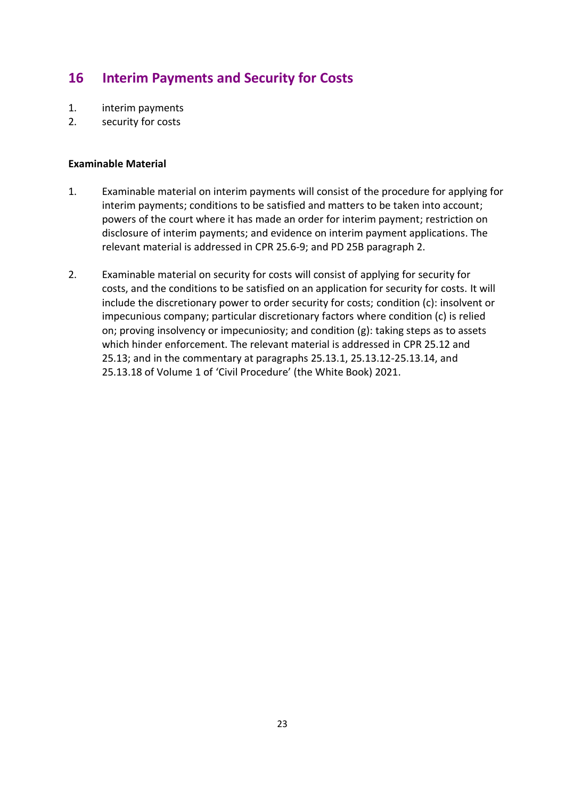# **16 Interim Payments and Security for Costs**

- 1. interim payments
- 2. security for costs

- 1. Examinable material on interim payments will consist of the procedure for applying for interim payments; conditions to be satisfied and matters to be taken into account; powers of the court where it has made an order for interim payment; restriction on disclosure of interim payments; and evidence on interim payment applications. The relevant material is addressed in CPR 25.6-9; and PD 25B paragraph 2.
- 2. Examinable material on security for costs will consist of applying for security for costs, and the conditions to be satisfied on an application for security for costs. It will include the discretionary power to order security for costs; condition (c): insolvent or impecunious company; particular discretionary factors where condition (c) is relied on; proving insolvency or impecuniosity; and condition (g): taking steps as to assets which hinder enforcement. The relevant material is addressed in CPR 25.12 and 25.13; and in the commentary at paragraphs 25.13.1, 25.13.12-25.13.14, and 25.13.18 of Volume 1 of 'Civil Procedure' (the White Book) 2021.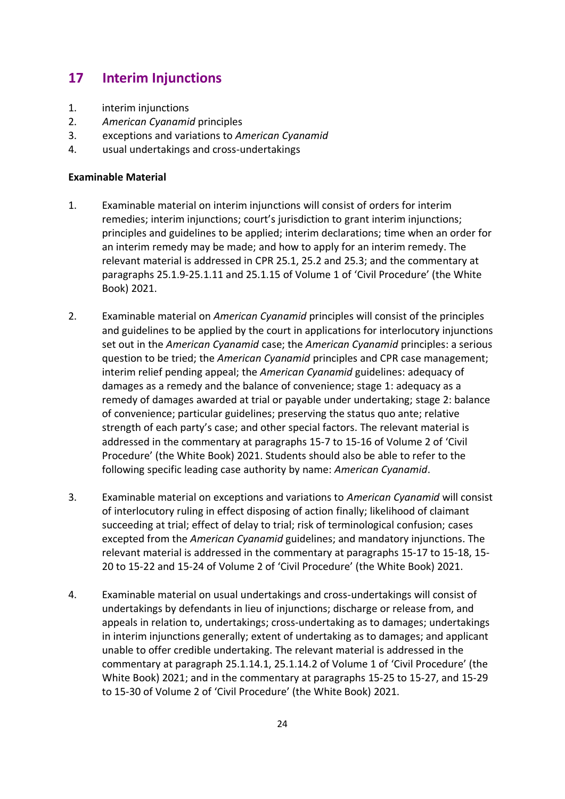## **17 Interim Injunctions**

- 1. interim injunctions
- 2. *American Cyanamid* principles
- 3. exceptions and variations to *American Cyanamid*
- 4. usual undertakings and cross-undertakings

- 1. Examinable material on interim injunctions will consist of orders for interim remedies; interim injunctions; court's jurisdiction to grant interim injunctions; principles and guidelines to be applied; interim declarations; time when an order for an interim remedy may be made; and how to apply for an interim remedy. The relevant material is addressed in CPR 25.1, 25.2 and 25.3; and the commentary at paragraphs 25.1.9-25.1.11 and 25.1.15 of Volume 1 of 'Civil Procedure' (the White Book) 2021.
- 2. Examinable material on *American Cyanamid* principles will consist of the principles and guidelines to be applied by the court in applications for interlocutory injunctions set out in the *American Cyanamid* case; the *American Cyanamid* principles: a serious question to be tried; the *American Cyanamid* principles and CPR case management; interim relief pending appeal; the *American Cyanamid* guidelines: adequacy of damages as a remedy and the balance of convenience; stage 1: adequacy as a remedy of damages awarded at trial or payable under undertaking; stage 2: balance of convenience; particular guidelines; preserving the status quo ante; relative strength of each party's case; and other special factors. The relevant material is addressed in the commentary at paragraphs 15-7 to 15-16 of Volume 2 of 'Civil Procedure' (the White Book) 2021. Students should also be able to refer to the following specific leading case authority by name: *American Cyanamid*.
- 3. Examinable material on exceptions and variations to *American Cyanamid* will consist of interlocutory ruling in effect disposing of action finally; likelihood of claimant succeeding at trial; effect of delay to trial; risk of terminological confusion; cases excepted from the *American Cyanamid* guidelines; and mandatory injunctions. The relevant material is addressed in the commentary at paragraphs 15-17 to 15-18, 15- 20 to 15-22 and 15-24 of Volume 2 of 'Civil Procedure' (the White Book) 2021.
- 4. Examinable material on usual undertakings and cross-undertakings will consist of undertakings by defendants in lieu of injunctions; discharge or release from, and appeals in relation to, undertakings; cross-undertaking as to damages; undertakings in interim injunctions generally; extent of undertaking as to damages; and applicant unable to offer credible undertaking. The relevant material is addressed in the commentary at paragraph 25.1.14.1, 25.1.14.2 of Volume 1 of 'Civil Procedure' (the White Book) 2021; and in the commentary at paragraphs 15-25 to 15-27, and 15-29 to 15-30 of Volume 2 of 'Civil Procedure' (the White Book) 2021.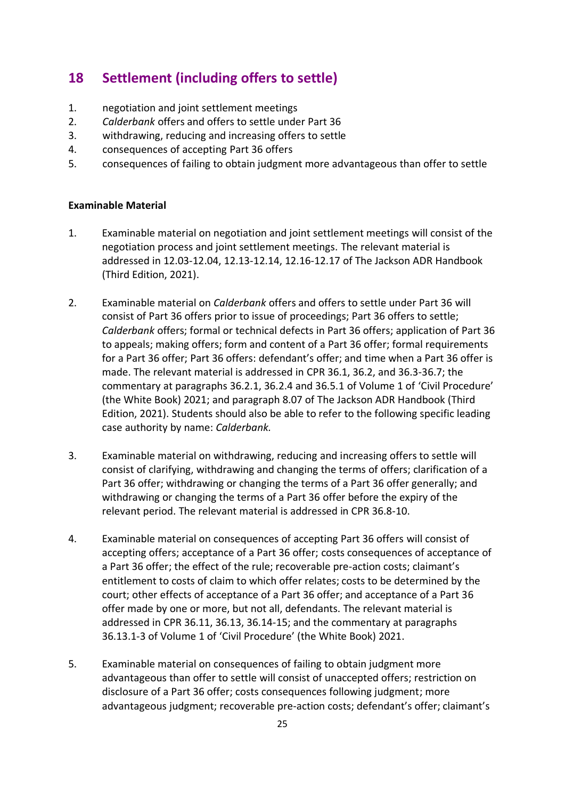## **18 Settlement (including offers to settle)**

- 1. negotiation and joint settlement meetings
- 2. *Calderbank* offers and offers to settle under Part 36
- 3. withdrawing, reducing and increasing offers to settle
- 4. consequences of accepting Part 36 offers
- 5. consequences of failing to obtain judgment more advantageous than offer to settle

- 1. Examinable material on negotiation and joint settlement meetings will consist of the negotiation process and joint settlement meetings. The relevant material is addressed in 12.03-12.04, 12.13-12.14, 12.16-12.17 of The Jackson ADR Handbook (Third Edition, 2021).
- 2. Examinable material on *Calderbank* offers and offers to settle under Part 36 will consist of Part 36 offers prior to issue of proceedings; Part 36 offers to settle; *Calderbank* offers; formal or technical defects in Part 36 offers; application of Part 36 to appeals; making offers; form and content of a Part 36 offer; formal requirements for a Part 36 offer; Part 36 offers: defendant's offer; and time when a Part 36 offer is made. The relevant material is addressed in CPR 36.1, 36.2, and 36.3-36.7; the commentary at paragraphs 36.2.1, 36.2.4 and 36.5.1 of Volume 1 of 'Civil Procedure' (the White Book) 2021; and paragraph 8.07 of The Jackson ADR Handbook (Third Edition, 2021). Students should also be able to refer to the following specific leading case authority by name: *Calderbank.*
- 3. Examinable material on withdrawing, reducing and increasing offers to settle will consist of clarifying, withdrawing and changing the terms of offers; clarification of a Part 36 offer; withdrawing or changing the terms of a Part 36 offer generally; and withdrawing or changing the terms of a Part 36 offer before the expiry of the relevant period. The relevant material is addressed in CPR 36.8-10.
- 4. Examinable material on consequences of accepting Part 36 offers will consist of accepting offers; acceptance of a Part 36 offer; costs consequences of acceptance of a Part 36 offer; the effect of the rule; recoverable pre-action costs; claimant's entitlement to costs of claim to which offer relates; costs to be determined by the court; other effects of acceptance of a Part 36 offer; and acceptance of a Part 36 offer made by one or more, but not all, defendants. The relevant material is addressed in CPR 36.11, 36.13, 36.14-15; and the commentary at paragraphs 36.13.1-3 of Volume 1 of 'Civil Procedure' (the White Book) 2021.
- 5. Examinable material on consequences of failing to obtain judgment more advantageous than offer to settle will consist of unaccepted offers; restriction on disclosure of a Part 36 offer; costs consequences following judgment; more advantageous judgment; recoverable pre-action costs; defendant's offer; claimant's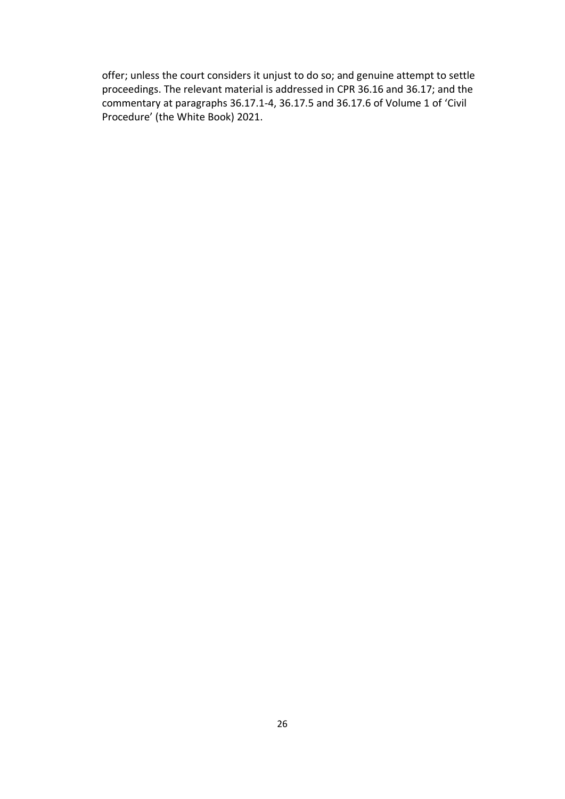offer; unless the court considers it unjust to do so; and genuine attempt to settle proceedings. The relevant material is addressed in CPR 36.16 and 36.17; and the commentary at paragraphs 36.17.1-4, 36.17.5 and 36.17.6 of Volume 1 of 'Civil Procedure' (the White Book) 2021.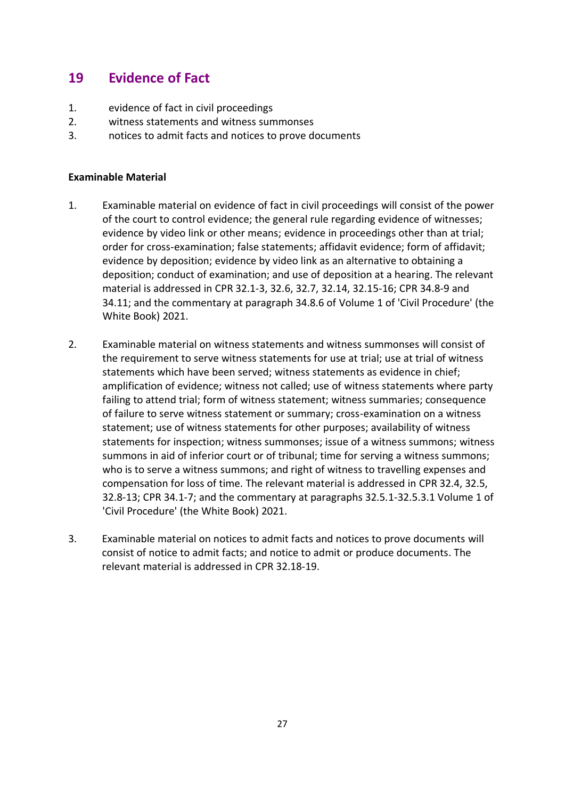# **19 Evidence of Fact**

- 1. evidence of fact in civil proceedings
- 2. witness statements and witness summonses
- 3. notices to admit facts and notices to prove documents

- 1. Examinable material on evidence of fact in civil proceedings will consist of the power of the court to control evidence; the general rule regarding evidence of witnesses; evidence by video link or other means; evidence in proceedings other than at trial; order for cross-examination; false statements; affidavit evidence; form of affidavit; evidence by deposition; evidence by video link as an alternative to obtaining a deposition; conduct of examination; and use of deposition at a hearing. The relevant material is addressed in CPR 32.1-3, 32.6, 32.7, 32.14, 32.15-16; CPR 34.8-9 and 34.11; and the commentary at paragraph 34.8.6 of Volume 1 of 'Civil Procedure' (the White Book) 2021.
- 2. Examinable material on witness statements and witness summonses will consist of the requirement to serve witness statements for use at trial; use at trial of witness statements which have been served; witness statements as evidence in chief; amplification of evidence; witness not called; use of witness statements where party failing to attend trial; form of witness statement; witness summaries; consequence of failure to serve witness statement or summary; cross-examination on a witness statement; use of witness statements for other purposes; availability of witness statements for inspection; witness summonses; issue of a witness summons; witness summons in aid of inferior court or of tribunal; time for serving a witness summons; who is to serve a witness summons; and right of witness to travelling expenses and compensation for loss of time. The relevant material is addressed in CPR 32.4, 32.5, 32.8-13; CPR 34.1-7; and the commentary at paragraphs 32.5.1-32.5.3.1 Volume 1 of 'Civil Procedure' (the White Book) 2021.
- 3. Examinable material on notices to admit facts and notices to prove documents will consist of notice to admit facts; and notice to admit or produce documents. The relevant material is addressed in CPR 32.18-19.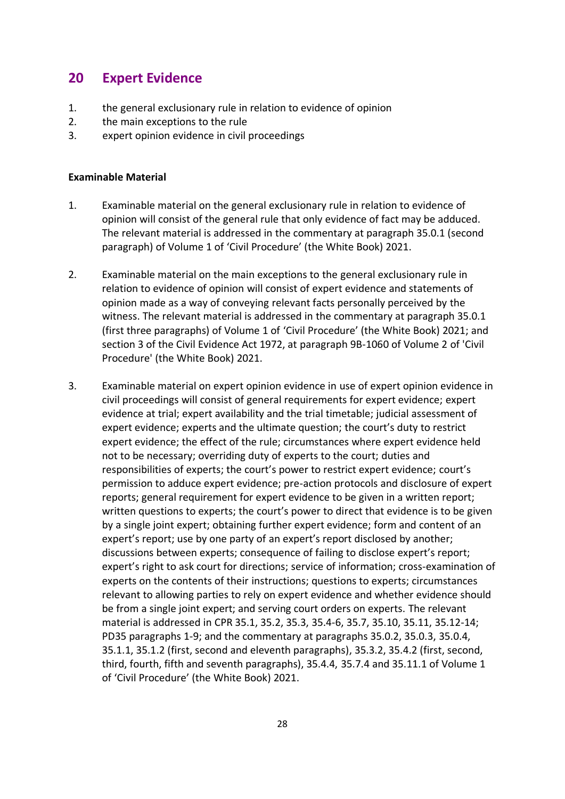### **20 Expert Evidence**

- 1. the general exclusionary rule in relation to evidence of opinion
- 2. the main exceptions to the rule
- 3. expert opinion evidence in civil proceedings

- 1. Examinable material on the general exclusionary rule in relation to evidence of opinion will consist of the general rule that only evidence of fact may be adduced. The relevant material is addressed in the commentary at paragraph 35.0.1 (second paragraph) of Volume 1 of 'Civil Procedure' (the White Book) 2021.
- 2. Examinable material on the main exceptions to the general exclusionary rule in relation to evidence of opinion will consist of expert evidence and statements of opinion made as a way of conveying relevant facts personally perceived by the witness. The relevant material is addressed in the commentary at paragraph 35.0.1 (first three paragraphs) of Volume 1 of 'Civil Procedure' (the White Book) 2021; and section 3 of the Civil Evidence Act 1972, at paragraph 9B-1060 of Volume 2 of 'Civil Procedure' (the White Book) 2021.
- 3. Examinable material on expert opinion evidence in use of expert opinion evidence in civil proceedings will consist of general requirements for expert evidence; expert evidence at trial; expert availability and the trial timetable; judicial assessment of expert evidence; experts and the ultimate question; the court's duty to restrict expert evidence; the effect of the rule; circumstances where expert evidence held not to be necessary; overriding duty of experts to the court; duties and responsibilities of experts; the court's power to restrict expert evidence; court's permission to adduce expert evidence; pre-action protocols and disclosure of expert reports; general requirement for expert evidence to be given in a written report; written questions to experts; the court's power to direct that evidence is to be given by a single joint expert; obtaining further expert evidence; form and content of an expert's report; use by one party of an expert's report disclosed by another; discussions between experts; consequence of failing to disclose expert's report; expert's right to ask court for directions; service of information; cross-examination of experts on the contents of their instructions; questions to experts; circumstances relevant to allowing parties to rely on expert evidence and whether evidence should be from a single joint expert; and serving court orders on experts. The relevant material is addressed in CPR 35.1, 35.2, 35.3, 35.4-6, 35.7, 35.10, 35.11, 35.12-14; PD35 paragraphs 1-9; and the commentary at paragraphs 35.0.2, 35.0.3, 35.0.4, 35.1.1, 35.1.2 (first, second and eleventh paragraphs), 35.3.2, 35.4.2 (first, second, third, fourth, fifth and seventh paragraphs), 35.4.4, 35.7.4 and 35.11.1 of Volume 1 of 'Civil Procedure' (the White Book) 2021.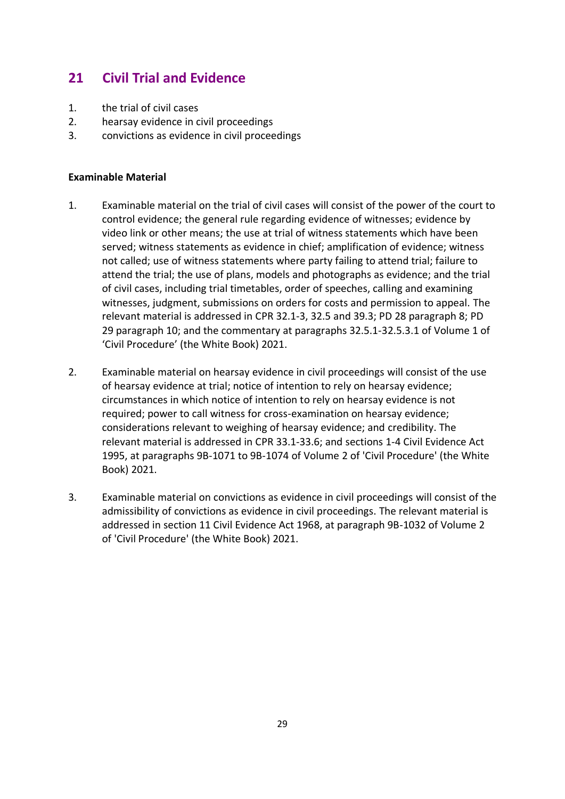# **21 Civil Trial and Evidence**

- 1. the trial of civil cases
- 2. hearsay evidence in civil proceedings
- 3. convictions as evidence in civil proceedings

- 1. Examinable material on the trial of civil cases will consist of the power of the court to control evidence; the general rule regarding evidence of witnesses; evidence by video link or other means; the use at trial of witness statements which have been served; witness statements as evidence in chief; amplification of evidence; witness not called; use of witness statements where party failing to attend trial; failure to attend the trial; the use of plans, models and photographs as evidence; and the trial of civil cases, including trial timetables, order of speeches, calling and examining witnesses, judgment, submissions on orders for costs and permission to appeal. The relevant material is addressed in CPR 32.1-3, 32.5 and 39.3; PD 28 paragraph 8; PD 29 paragraph 10; and the commentary at paragraphs 32.5.1-32.5.3.1 of Volume 1 of 'Civil Procedure' (the White Book) 2021.
- 2. Examinable material on hearsay evidence in civil proceedings will consist of the use of hearsay evidence at trial; notice of intention to rely on hearsay evidence; circumstances in which notice of intention to rely on hearsay evidence is not required; power to call witness for cross-examination on hearsay evidence; considerations relevant to weighing of hearsay evidence; and credibility. The relevant material is addressed in CPR 33.1-33.6; and sections 1-4 Civil Evidence Act 1995, at paragraphs 9B-1071 to 9B-1074 of Volume 2 of 'Civil Procedure' (the White Book) 2021.
- 3. Examinable material on convictions as evidence in civil proceedings will consist of the admissibility of convictions as evidence in civil proceedings. The relevant material is addressed in section 11 Civil Evidence Act 1968, at paragraph 9B-1032 of Volume 2 of 'Civil Procedure' (the White Book) 2021.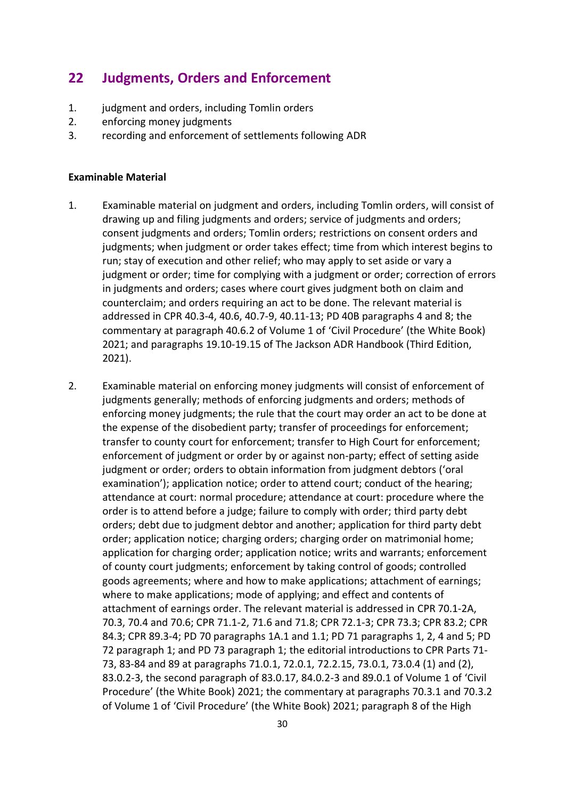### **22 Judgments, Orders and Enforcement**

- 1. judgment and orders, including Tomlin orders
- 2. enforcing money judgments
- 3. recording and enforcement of settlements following ADR

- 1. Examinable material on judgment and orders, including Tomlin orders, will consist of drawing up and filing judgments and orders; service of judgments and orders; consent judgments and orders; Tomlin orders; restrictions on consent orders and judgments; when judgment or order takes effect; time from which interest begins to run; stay of execution and other relief; who may apply to set aside or vary a judgment or order; time for complying with a judgment or order; correction of errors in judgments and orders; cases where court gives judgment both on claim and counterclaim; and orders requiring an act to be done. The relevant material is addressed in CPR 40.3-4, 40.6, 40.7-9, 40.11-13; PD 40B paragraphs 4 and 8; the commentary at paragraph 40.6.2 of Volume 1 of 'Civil Procedure' (the White Book) 2021; and paragraphs 19.10-19.15 of The Jackson ADR Handbook (Third Edition, 2021).
- 2. Examinable material on enforcing money judgments will consist of enforcement of judgments generally; methods of enforcing judgments and orders; methods of enforcing money judgments; the rule that the court may order an act to be done at the expense of the disobedient party; transfer of proceedings for enforcement; transfer to county court for enforcement; transfer to High Court for enforcement; enforcement of judgment or order by or against non-party; effect of setting aside judgment or order; orders to obtain information from judgment debtors ('oral examination'); application notice; order to attend court; conduct of the hearing; attendance at court: normal procedure; attendance at court: procedure where the order is to attend before a judge; failure to comply with order; third party debt orders; debt due to judgment debtor and another; application for third party debt order; application notice; charging orders; charging order on matrimonial home; application for charging order; application notice; writs and warrants; enforcement of county court judgments; enforcement by taking control of goods; controlled goods agreements; where and how to make applications; attachment of earnings; where to make applications; mode of applying; and effect and contents of attachment of earnings order. The relevant material is addressed in CPR 70.1-2A, 70.3, 70.4 and 70.6; CPR 71.1-2, 71.6 and 71.8; CPR 72.1-3; CPR 73.3; CPR 83.2; CPR 84.3; CPR 89.3-4; PD 70 paragraphs 1A.1 and 1.1; PD 71 paragraphs 1, 2, 4 and 5; PD 72 paragraph 1; and PD 73 paragraph 1; the editorial introductions to CPR Parts 71- 73, 83-84 and 89 at paragraphs 71.0.1, 72.0.1, 72.2.15, 73.0.1, 73.0.4 (1) and (2), 83.0.2-3, the second paragraph of 83.0.17, 84.0.2-3 and 89.0.1 of Volume 1 of 'Civil Procedure' (the White Book) 2021; the commentary at paragraphs 70.3.1 and 70.3.2 of Volume 1 of 'Civil Procedure' (the White Book) 2021; paragraph 8 of the High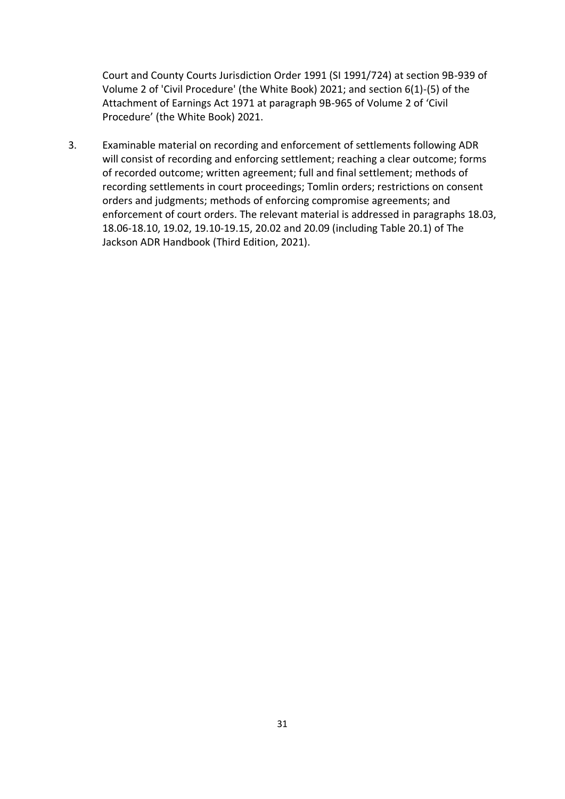Court and County Courts Jurisdiction Order 1991 (SI 1991/724) at section 9B-939 of Volume 2 of 'Civil Procedure' (the White Book) 2021; and section 6(1)-(5) of the Attachment of Earnings Act 1971 at paragraph 9B-965 of Volume 2 of 'Civil Procedure' (the White Book) 2021.

3. Examinable material on recording and enforcement of settlements following ADR will consist of recording and enforcing settlement; reaching a clear outcome; forms of recorded outcome; written agreement; full and final settlement; methods of recording settlements in court proceedings; Tomlin orders; restrictions on consent orders and judgments; methods of enforcing compromise agreements; and enforcement of court orders. The relevant material is addressed in paragraphs 18.03, 18.06-18.10, 19.02, 19.10-19.15, 20.02 and 20.09 (including Table 20.1) of The Jackson ADR Handbook (Third Edition, 2021).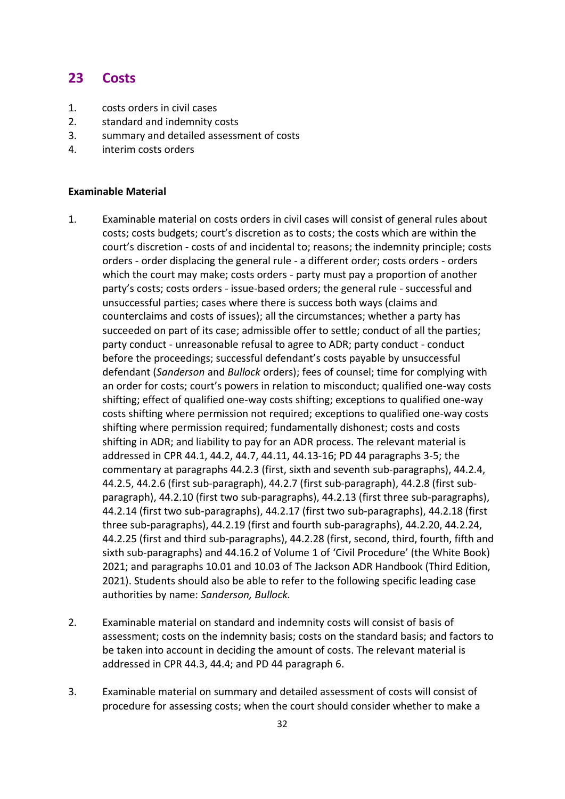### **23 Costs**

- 1. costs orders in civil cases
- 2. standard and indemnity costs
- 3. summary and detailed assessment of costs
- 4. interim costs orders

- 1. Examinable material on costs orders in civil cases will consist of general rules about costs; costs budgets; court's discretion as to costs; the costs which are within the court's discretion - costs of and incidental to; reasons; the indemnity principle; costs orders - order displacing the general rule - a different order; costs orders - orders which the court may make; costs orders - party must pay a proportion of another party's costs; costs orders - issue-based orders; the general rule - successful and unsuccessful parties; cases where there is success both ways (claims and counterclaims and costs of issues); all the circumstances; whether a party has succeeded on part of its case; admissible offer to settle; conduct of all the parties; party conduct - unreasonable refusal to agree to ADR; party conduct - conduct before the proceedings; successful defendant's costs payable by unsuccessful defendant (*Sanderson* and *Bullock* orders); fees of counsel; time for complying with an order for costs; court's powers in relation to misconduct; qualified one-way costs shifting; effect of qualified one-way costs shifting; exceptions to qualified one-way costs shifting where permission not required; exceptions to qualified one-way costs shifting where permission required; fundamentally dishonest; costs and costs shifting in ADR; and liability to pay for an ADR process. The relevant material is addressed in CPR 44.1, 44.2, 44.7, 44.11, 44.13-16; PD 44 paragraphs 3-5; the commentary at paragraphs 44.2.3 (first, sixth and seventh sub-paragraphs), 44.2.4, 44.2.5, 44.2.6 (first sub-paragraph), 44.2.7 (first sub-paragraph), 44.2.8 (first subparagraph), 44.2.10 (first two sub-paragraphs), 44.2.13 (first three sub-paragraphs), 44.2.14 (first two sub-paragraphs), 44.2.17 (first two sub-paragraphs), 44.2.18 (first three sub-paragraphs), 44.2.19 (first and fourth sub-paragraphs), 44.2.20, 44.2.24, 44.2.25 (first and third sub-paragraphs), 44.2.28 (first, second, third, fourth, fifth and sixth sub-paragraphs) and 44.16.2 of Volume 1 of 'Civil Procedure' (the White Book) 2021; and paragraphs 10.01 and 10.03 of The Jackson ADR Handbook (Third Edition, 2021). Students should also be able to refer to the following specific leading case authorities by name: *Sanderson, Bullock.*
- 2. Examinable material on standard and indemnity costs will consist of basis of assessment; costs on the indemnity basis; costs on the standard basis; and factors to be taken into account in deciding the amount of costs. The relevant material is addressed in CPR 44.3, 44.4; and PD 44 paragraph 6.
- 3. Examinable material on summary and detailed assessment of costs will consist of procedure for assessing costs; when the court should consider whether to make a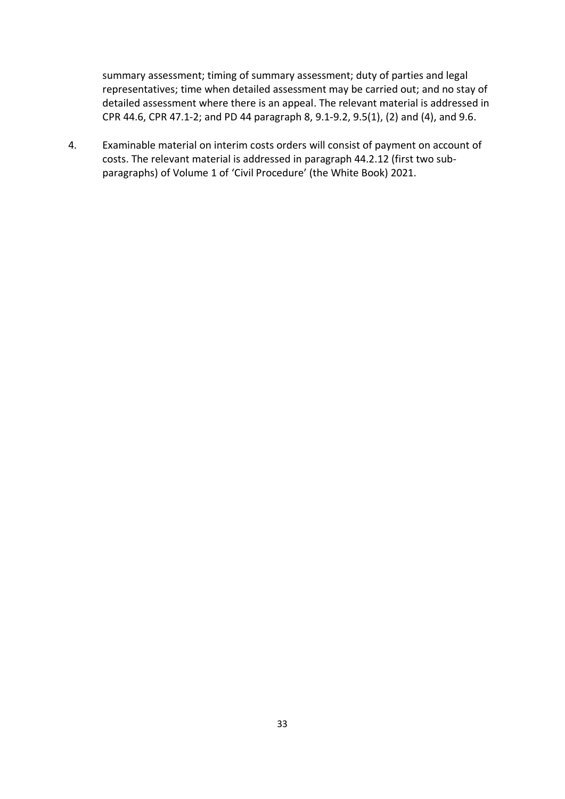summary assessment; timing of summary assessment; duty of parties and legal representatives; time when detailed assessment may be carried out; and no stay of detailed assessment where there is an appeal. The relevant material is addressed in CPR 44.6, CPR 47.1-2; and PD 44 paragraph 8, 9.1-9.2, 9.5(1), (2) and (4), and 9.6.

4. Examinable material on interim costs orders will consist of payment on account of costs. The relevant material is addressed in paragraph 44.2.12 (first two subparagraphs) of Volume 1 of 'Civil Procedure' (the White Book) 2021.